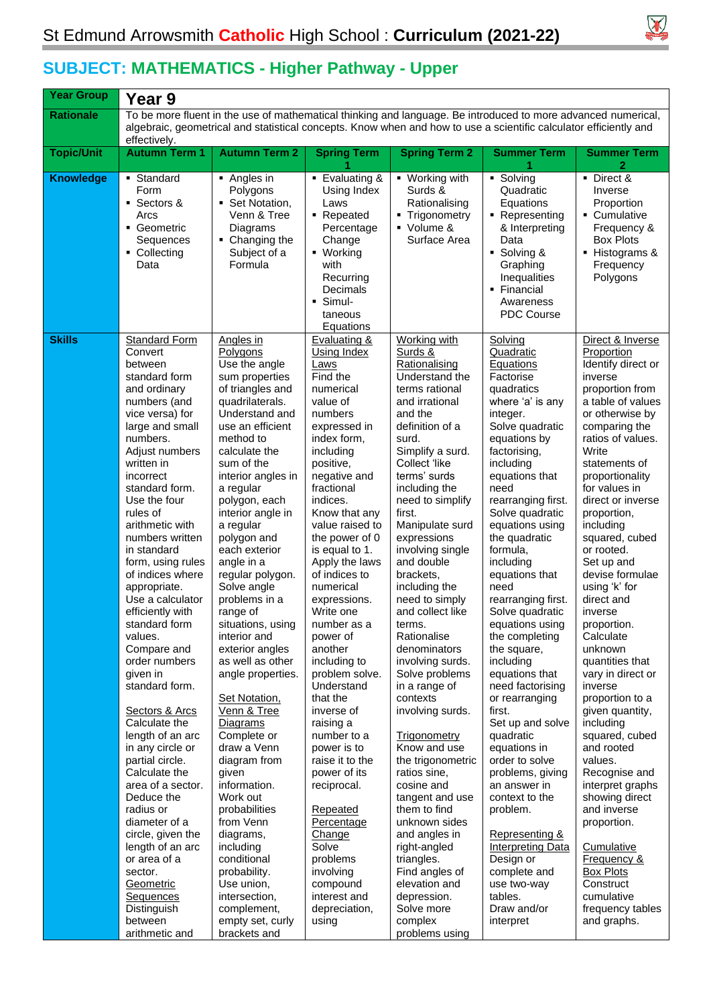

## **SUBJECT: MATHEMATICS - Higher Pathway - Upper**

| <b>Year Group</b> | Year <sub>9</sub>                                                                                                                                                                                                                                                                                                                                                                                                                                                                                                                                                                                                                                                                                                                                                                            |                                                                                                                                                                                                                                                                                                                                                                                                                                                                                                                                                                                                                                                                                                                                                            |                                                                                                                                                                                                                                                                                                                                                                                                                                                                                                                                                                                                                                                                             |                                                                                                                                                                                                                                                                                                                                                                                                                                                                                                                                                                                                                                                                                                                                                                         |                                                                                                                                                                                                                                                                                                                                                                                                                                                                                                                                                                                                                                                                                                                                                                        |                                                                                                                                                                                                                                                                                                                                                                                                                                                                                                                                                                                                                                                                                                                                                                                    |  |  |
|-------------------|----------------------------------------------------------------------------------------------------------------------------------------------------------------------------------------------------------------------------------------------------------------------------------------------------------------------------------------------------------------------------------------------------------------------------------------------------------------------------------------------------------------------------------------------------------------------------------------------------------------------------------------------------------------------------------------------------------------------------------------------------------------------------------------------|------------------------------------------------------------------------------------------------------------------------------------------------------------------------------------------------------------------------------------------------------------------------------------------------------------------------------------------------------------------------------------------------------------------------------------------------------------------------------------------------------------------------------------------------------------------------------------------------------------------------------------------------------------------------------------------------------------------------------------------------------------|-----------------------------------------------------------------------------------------------------------------------------------------------------------------------------------------------------------------------------------------------------------------------------------------------------------------------------------------------------------------------------------------------------------------------------------------------------------------------------------------------------------------------------------------------------------------------------------------------------------------------------------------------------------------------------|-------------------------------------------------------------------------------------------------------------------------------------------------------------------------------------------------------------------------------------------------------------------------------------------------------------------------------------------------------------------------------------------------------------------------------------------------------------------------------------------------------------------------------------------------------------------------------------------------------------------------------------------------------------------------------------------------------------------------------------------------------------------------|------------------------------------------------------------------------------------------------------------------------------------------------------------------------------------------------------------------------------------------------------------------------------------------------------------------------------------------------------------------------------------------------------------------------------------------------------------------------------------------------------------------------------------------------------------------------------------------------------------------------------------------------------------------------------------------------------------------------------------------------------------------------|------------------------------------------------------------------------------------------------------------------------------------------------------------------------------------------------------------------------------------------------------------------------------------------------------------------------------------------------------------------------------------------------------------------------------------------------------------------------------------------------------------------------------------------------------------------------------------------------------------------------------------------------------------------------------------------------------------------------------------------------------------------------------------|--|--|
| <b>Rationale</b>  | To be more fluent in the use of mathematical thinking and language. Be introduced to more advanced numerical,<br>algebraic, geometrical and statistical concepts. Know when and how to use a scientific calculator efficiently and<br>effectively.                                                                                                                                                                                                                                                                                                                                                                                                                                                                                                                                           |                                                                                                                                                                                                                                                                                                                                                                                                                                                                                                                                                                                                                                                                                                                                                            |                                                                                                                                                                                                                                                                                                                                                                                                                                                                                                                                                                                                                                                                             |                                                                                                                                                                                                                                                                                                                                                                                                                                                                                                                                                                                                                                                                                                                                                                         |                                                                                                                                                                                                                                                                                                                                                                                                                                                                                                                                                                                                                                                                                                                                                                        |                                                                                                                                                                                                                                                                                                                                                                                                                                                                                                                                                                                                                                                                                                                                                                                    |  |  |
| <b>Topic/Unit</b> | <b>Autumn Term 1</b>                                                                                                                                                                                                                                                                                                                                                                                                                                                                                                                                                                                                                                                                                                                                                                         | <b>Autumn Term 2</b>                                                                                                                                                                                                                                                                                                                                                                                                                                                                                                                                                                                                                                                                                                                                       | <b>Spring Term</b>                                                                                                                                                                                                                                                                                                                                                                                                                                                                                                                                                                                                                                                          | <b>Spring Term 2</b>                                                                                                                                                                                                                                                                                                                                                                                                                                                                                                                                                                                                                                                                                                                                                    | <b>Summer Term</b>                                                                                                                                                                                                                                                                                                                                                                                                                                                                                                                                                                                                                                                                                                                                                     | <b>Summer Term</b><br>2                                                                                                                                                                                                                                                                                                                                                                                                                                                                                                                                                                                                                                                                                                                                                            |  |  |
| <b>Knowledge</b>  | • Standard<br>Form<br>■ Sectors &<br>Arcs<br>• Geometric<br>Sequences<br>• Collecting<br>Data                                                                                                                                                                                                                                                                                                                                                                                                                                                                                                                                                                                                                                                                                                | $\blacksquare$ Angles in<br>Polygons<br>• Set Notation,<br>Venn & Tree<br>Diagrams<br>• Changing the<br>Subject of a<br>Formula                                                                                                                                                                                                                                                                                                                                                                                                                                                                                                                                                                                                                            | • Evaluating &<br>Using Index<br>Laws<br>• Repeated<br>Percentage<br>Change<br>• Working<br>with<br>Recurring<br>Decimals<br>• Simul-<br>taneous<br>Equations                                                                                                                                                                                                                                                                                                                                                                                                                                                                                                               | • Working with<br>Surds &<br>Rationalising<br>■ Trigonometry<br>• Volume &<br>Surface Area                                                                                                                                                                                                                                                                                                                                                                                                                                                                                                                                                                                                                                                                              | • Solving<br>Quadratic<br>Equations<br>• Representing<br>& Interpreting<br>Data<br>■ Solving &<br>Graphing<br>Inequalities<br>• Financial<br>Awareness<br><b>PDC Course</b>                                                                                                                                                                                                                                                                                                                                                                                                                                                                                                                                                                                            | • Direct &<br>Inverse<br>Proportion<br>• Cumulative<br>Frequency &<br><b>Box Plots</b><br>• Histograms &<br>Frequency<br>Polygons                                                                                                                                                                                                                                                                                                                                                                                                                                                                                                                                                                                                                                                  |  |  |
| <b>Skills</b>     | <b>Standard Form</b><br>Convert<br>between<br>standard form<br>and ordinary<br>numbers (and<br>vice versa) for<br>large and small<br>numbers.<br>Adjust numbers<br>written in<br>incorrect<br>standard form.<br>Use the four<br>rules of<br>arithmetic with<br>numbers written<br>in standard<br>form, using rules<br>of indices where<br>appropriate.<br>Use a calculator<br>efficiently with<br>standard form<br>values.<br>Compare and<br>order numbers<br>given in<br>standard form.<br>Sectors & Arcs<br>Calculate the<br>length of an arc<br>in any circle or<br>partial circle.<br>Calculate the<br>area of a sector.<br>Deduce the<br>radius or<br>diameter of a<br>circle, given the<br>length of an arc<br>or area of a<br>sector.<br>Geometric<br><b>Sequences</b><br>Distinguish | Angles in<br>Polygons<br>Use the angle<br>sum properties<br>of triangles and<br>quadrilaterals.<br>Understand and<br>use an efficient<br>method to<br>calculate the<br>sum of the<br>interior angles in<br>a regular<br>polygon, each<br>interior angle in<br>a regular<br>polygon and<br>each exterior<br>angle in a<br>regular polygon.<br>Solve angle<br>problems in a<br>range of<br>situations, using<br>interior and<br>exterior angles<br>as well as other<br>angle properties.<br>Set Notation,<br>Venn & Tree<br>Diagrams<br>Complete or<br>draw a Venn<br>diagram from<br>given<br>information.<br>Work out<br>probabilities<br>from Venn<br>diagrams,<br>including<br>conditional<br>probability.<br>Use union,<br>intersection,<br>complement, | Evaluating &<br>Using Index<br>Laws<br>Find the<br>numerical<br>value of<br>numbers<br>expressed in<br>index form,<br>including<br>positive,<br>negative and<br>fractional<br>indices.<br>Know that any<br>value raised to<br>the power of 0<br>is equal to 1.<br>Apply the laws<br>of indices to<br>numerical<br>expressions.<br>Write one<br>number as a<br>power of<br>another<br>including to<br>problem solve.<br>Understand<br>that the<br>inverse of<br>raising a<br>number to a<br>power is to<br>raise it to the<br>power of its<br>reciprocal.<br>Repeated<br>Percentage<br>Change<br>Solve<br>problems<br>involving<br>compound<br>interest and<br>depreciation, | Working with<br>Surds &<br>Rationalising<br>Understand the<br>terms rational<br>and irrational<br>and the<br>definition of a<br>surd.<br>Simplify a surd.<br>Collect 'like<br>terms' surds<br>including the<br>need to simplify<br>first.<br>Manipulate surd<br>expressions<br>involving single<br>and double<br>brackets.<br>including the<br>need to simply<br>and collect like<br>terms.<br>Rationalise<br>denominators<br>involving surds.<br>Solve problems<br>in a range of<br>contexts<br>involving surds.<br>Trigonometry<br>Know and use<br>the trigonometric<br>ratios sine,<br>cosine and<br>tangent and use<br>them to find<br>unknown sides<br>and angles in<br>right-angled<br>triangles.<br>Find angles of<br>elevation and<br>depression.<br>Solve more | Solving<br>Quadratic<br>Equations<br>Factorise<br>quadratics<br>where 'a' is any<br>integer.<br>Solve quadratic<br>equations by<br>factorising,<br>including<br>equations that<br>need<br>rearranging first.<br>Solve quadratic<br>equations using<br>the quadratic<br>formula,<br>including<br>equations that<br>need<br>rearranging first.<br>Solve quadratic<br>equations using<br>the completing<br>the square,<br>including<br>equations that<br>need factorising<br>or rearranging<br>first.<br>Set up and solve<br>quadratic<br>equations in<br>order to solve<br>problems, giving<br>an answer in<br>context to the<br>problem.<br><b>Representing &amp;</b><br><b>Interpreting Data</b><br>Design or<br>complete and<br>use two-way<br>tables.<br>Draw and/or | Direct & Inverse<br>Proportion<br>Identify direct or<br>inverse<br>proportion from<br>a table of values<br>or otherwise by<br>comparing the<br>ratios of values.<br>Write<br>statements of<br>proportionality<br>for values in<br>direct or inverse<br>proportion,<br>including<br>squared, cubed<br>or rooted.<br>Set up and<br>devise formulae<br>using 'k' for<br>direct and<br>inverse<br>proportion.<br>Calculate<br>unknown<br>quantities that<br>vary in direct or<br>inverse<br>proportion to a<br>given quantity,<br>including<br>squared, cubed<br>and rooted<br>values.<br>Recognise and<br>interpret graphs<br>showing direct<br>and inverse<br>proportion.<br>Cumulative<br><b>Frequency &amp;</b><br><b>Box Plots</b><br>Construct<br>cumulative<br>frequency tables |  |  |
|                   | between<br>arithmetic and                                                                                                                                                                                                                                                                                                                                                                                                                                                                                                                                                                                                                                                                                                                                                                    | empty set, curly<br>brackets and                                                                                                                                                                                                                                                                                                                                                                                                                                                                                                                                                                                                                                                                                                                           | using                                                                                                                                                                                                                                                                                                                                                                                                                                                                                                                                                                                                                                                                       | complex<br>problems using                                                                                                                                                                                                                                                                                                                                                                                                                                                                                                                                                                                                                                                                                                                                               | interpret                                                                                                                                                                                                                                                                                                                                                                                                                                                                                                                                                                                                                                                                                                                                                              | and graphs.                                                                                                                                                                                                                                                                                                                                                                                                                                                                                                                                                                                                                                                                                                                                                                        |  |  |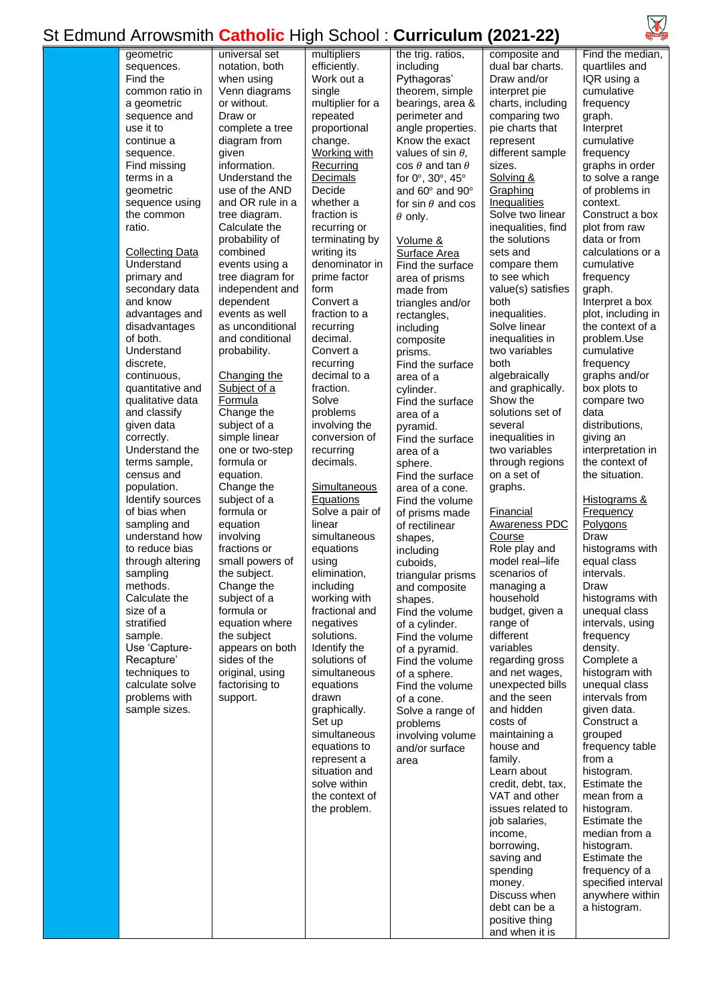| geometric                            | universal set    | multipliers         | the trig. ratios,              | composite and        | Find the median,   |
|--------------------------------------|------------------|---------------------|--------------------------------|----------------------|--------------------|
| sequences.                           | notation, both   | efficiently.        | including                      | dual bar charts.     | quartliles and     |
| Find the                             | when using       | Work out a          | Pythagoras'                    | Draw and/or          | IQR using a        |
| common ratio in                      | Venn diagrams    | single              | theorem, simple                | interpret pie        | cumulative         |
| a geometric                          | or without.      | multiplier for a    | bearings, area &               | charts, including    | frequency          |
| sequence and                         | Draw or          | repeated            | perimeter and                  | comparing two        | graph.             |
| use it to                            | complete a tree  | proportional        | angle properties.              | pie charts that      | Interpret          |
|                                      |                  |                     | Know the exact                 |                      | cumulative         |
| continue a                           | diagram from     | change.             |                                | represent            |                    |
| sequence.                            | given            | <b>Working with</b> | values of sin $\theta$ ,       | different sample     | frequency          |
| Find missing                         | information.     | Recurring           | $\cos \theta$ and tan $\theta$ | sizes.               | graphs in order    |
| terms in a                           | Understand the   | Decimals            | for 0°, 30°, 45°               | Solving &            | to solve a range   |
| geometric                            | use of the AND   | Decide              | and 60° and 90°                | Graphing             | of problems in     |
| sequence using                       | and OR rule in a | whether a           | for sin $\theta$ and cos       | Inequalities         | context.           |
| the common                           | tree diagram.    | fraction is         | $\theta$ only.                 | Solve two linear     | Construct a box    |
| ratio.                               | Calculate the    | recurring or        |                                | inequalities, find   | plot from raw      |
|                                      | probability of   | terminating by      |                                | the solutions        | data or from       |
|                                      | combined         |                     | Volume &                       | sets and             | calculations or a  |
| <b>Collecting Data</b><br>Understand |                  | writing its         | Surface Area                   |                      |                    |
|                                      | events using a   | denominator in      | Find the surface               | compare them         | cumulative         |
| primary and                          | tree diagram for | prime factor        | area of prisms                 | to see which         | frequency          |
| secondary data                       | independent and  | form                | made from                      | value(s) satisfies   | graph.             |
| and know                             | dependent        | Convert a           | triangles and/or               | both                 | Interpret a box    |
| advantages and                       | events as well   | fraction to a       | rectangles,                    | inequalities.        | plot, including in |
| disadvantages                        | as unconditional | recurring           | including                      | Solve linear         | the context of a   |
| of both.                             | and conditional  | decimal.            | composite                      | inequalities in      | problem.Use        |
| Understand                           | probability.     | Convert a           | prisms.                        | two variables        | cumulative         |
| discrete,                            |                  | recurring           |                                | both                 | frequency          |
|                                      |                  |                     | Find the surface               |                      |                    |
| continuous,                          | Changing the     | decimal to a        | area of a                      | algebraically        | graphs and/or      |
| quantitative and                     | Subject of a     | fraction.           | cylinder.                      | and graphically.     | box plots to       |
| qualitative data                     | Formula          | Solve               | Find the surface               | Show the             | compare two        |
| and classify                         | Change the       | problems            | area of a                      | solutions set of     | data               |
| given data                           | subject of a     | involving the       | pyramid.                       | several              | distributions,     |
| correctly.                           | simple linear    | conversion of       | Find the surface               | inequalities in      | giving an          |
| Understand the                       | one or two-step  | recurring           | area of a                      | two variables        | interpretation in  |
| terms sample,                        | formula or       | decimals.           | sphere.                        | through regions      | the context of     |
| census and                           | equation.        |                     | Find the surface               | on a set of          | the situation.     |
| population.                          | Change the       | <b>Simultaneous</b> | area of a cone.                | graphs.              |                    |
| Identify sources                     | subject of a     | Equations           | Find the volume                |                      | Histograms &       |
| of bias when                         | formula or       | Solve a pair of     |                                | Financial            | Frequency          |
|                                      |                  | linear              | of prisms made                 |                      | Polygons           |
| sampling and<br>understand how       | equation         | simultaneous        | of rectilinear                 | <b>Awareness PDC</b> |                    |
|                                      | involving        |                     | shapes,                        | Course               | Draw               |
| to reduce bias                       | fractions or     | equations           | including                      | Role play and        | histograms with    |
| through altering                     | small powers of  | using               | cuboids,                       | model real-life      | equal class        |
| sampling                             | the subject.     | elimination,        | triangular prisms              | scenarios of         | intervals.         |
| methods.                             | Change the       | including           | and composite                  | managing a           | Draw               |
| Calculate the                        | subject of a     | working with        | shapes.                        | household            | histograms with    |
| size of a                            | formula or       | fractional and      | Find the volume                | budget, given a      | unequal class      |
| stratified                           | equation where   | negatives           | of a cylinder.                 | range of             | intervals, using   |
| sample.                              | the subject      | solutions.          | Find the volume                | different            | frequency          |
| Use 'Capture-                        | appears on both  | Identify the        | of a pyramid.                  | variables            | density.           |
| Recapture'                           | sides of the     | solutions of        | Find the volume                | regarding gross      | Complete a         |
| techniques to                        | original, using  | simultaneous        |                                | and net wages,       | histogram with     |
| calculate solve                      |                  |                     | of a sphere.                   |                      |                    |
|                                      | factorising to   | equations           | Find the volume                | unexpected bills     | unequal class      |
| problems with                        | support.         | drawn               | of a cone.                     | and the seen         | intervals from     |
| sample sizes.                        |                  | graphically.        | Solve a range of               | and hidden           | given data.        |
|                                      |                  | Set up              | problems                       | costs of             | Construct a        |
|                                      |                  | simultaneous        | involving volume               | maintaining a        | grouped            |
|                                      |                  | equations to        | and/or surface                 | house and            | frequency table    |
|                                      |                  | represent a         | area                           | family.              | from a             |
|                                      |                  | situation and       |                                | Learn about          | histogram.         |
|                                      |                  | solve within        |                                | credit, debt, tax,   | Estimate the       |
|                                      |                  | the context of      |                                | VAT and other        | mean from a        |
|                                      |                  | the problem.        |                                | issues related to    |                    |
|                                      |                  |                     |                                |                      | histogram.         |
|                                      |                  |                     |                                | job salaries,        | Estimate the       |
|                                      |                  |                     |                                | income,              | median from a      |
|                                      |                  |                     |                                | borrowing,           | histogram.         |
|                                      |                  |                     |                                | saving and           | Estimate the       |
|                                      |                  |                     |                                | spending             | frequency of a     |
|                                      |                  |                     |                                | money.               | specified interval |
|                                      |                  |                     |                                | Discuss when         | anywhere within    |
|                                      |                  |                     |                                | debt can be a        | a histogram.       |
|                                      |                  |                     |                                | positive thing       |                    |
|                                      |                  |                     |                                | and when it is       |                    |
|                                      |                  |                     |                                |                      |                    |

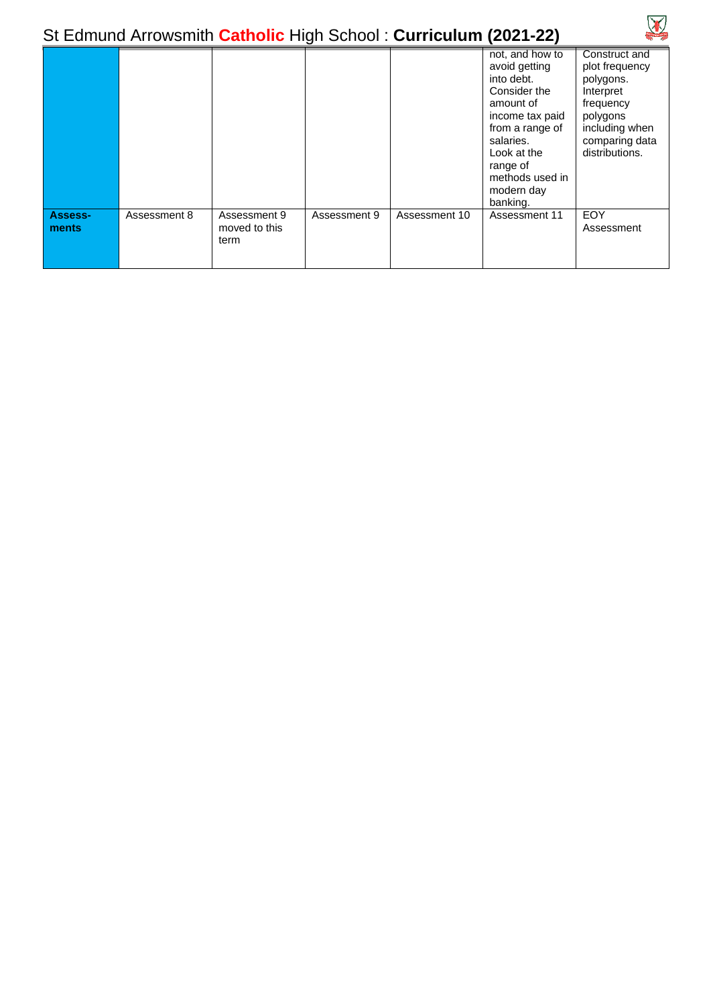

|                  |              |                                       |              |               | not, and how to<br>avoid getting<br>into debt.<br>Consider the<br>amount of<br>income tax paid<br>from a range of<br>salaries.<br>Look at the<br>range of<br>methods used in<br>modern day<br>banking. | Construct and<br>plot frequency<br>polygons.<br>Interpret<br>frequency<br>polygons<br>including when<br>comparing data<br>distributions. |
|------------------|--------------|---------------------------------------|--------------|---------------|--------------------------------------------------------------------------------------------------------------------------------------------------------------------------------------------------------|------------------------------------------------------------------------------------------------------------------------------------------|
| Assess-<br>ments | Assessment 8 | Assessment 9<br>moved to this<br>term | Assessment 9 | Assessment 10 | Assessment 11                                                                                                                                                                                          | EOY<br>Assessment                                                                                                                        |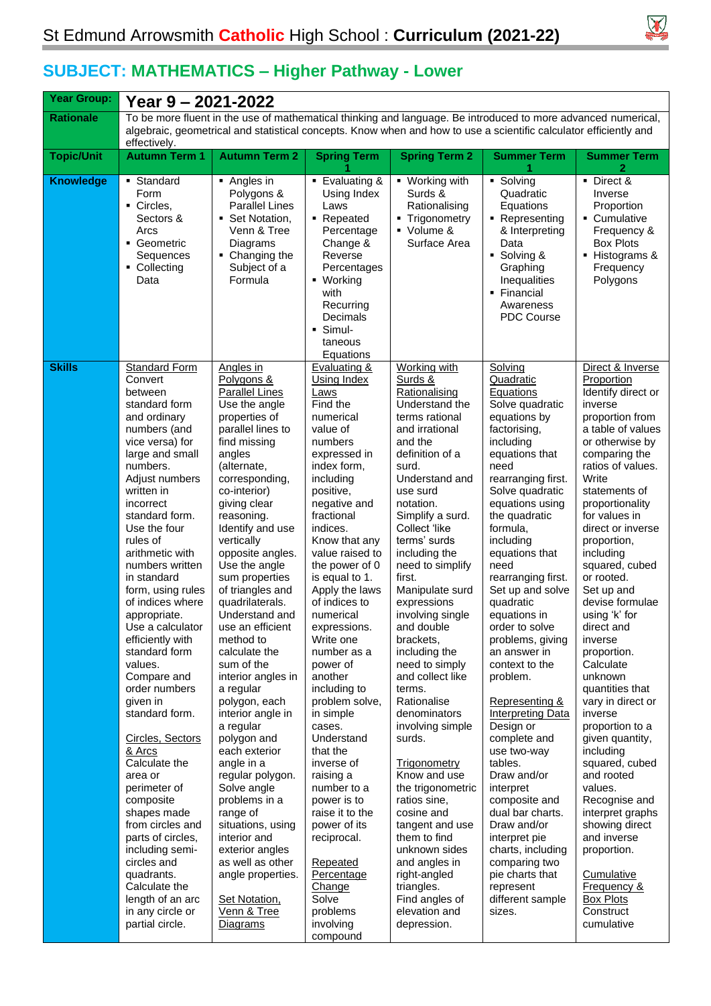

# **SUBJECT: MATHEMATICS – Higher Pathway - Lower**

| <b>Rationale</b><br>To be more fluent in the use of mathematical thinking and language. Be introduced to more advanced numerical,<br>algebraic, geometrical and statistical concepts. Know when and how to use a scientific calculator efficiently and<br>effectively.<br><b>Topic/Unit</b><br><b>Autumn Term 2</b><br><b>Autumn Term 1</b><br><b>Spring Term</b><br><b>Spring Term 2</b><br><b>Summer Term</b><br><b>Summer Term</b><br>2<br>$\overline{\phantom{a}}$ Solving<br>• Working with<br>• Direct &<br><b>Knowledge</b><br>• Standard<br>• Angles in<br>■ Evaluating &<br>Form<br>Surds &<br>Quadratic<br>Polygons &<br>Using Index<br>Inverse<br>Equations<br>• Circles,<br><b>Parallel Lines</b><br>Laws<br>Rationalising<br>Proportion<br>Sectors &<br>• Set Notation,<br>• Repeated<br>• Trigonometry<br>• Representing<br>• Cumulative<br>• Volume &<br>Arcs<br>Venn & Tree<br>Percentage<br>& Interpreting<br>Frequency &<br>Surface Area<br><b>Box Plots</b><br>• Geometric<br>Diagrams<br>Change &<br>Data<br>• Solving &<br>$\blacksquare$ Changing the<br>Reverse<br>■ Histograms &<br>Sequences<br>• Collecting<br>Subject of a<br>Percentages<br>Graphing<br>Frequency<br>• Working<br>Data<br>Formula<br>Inequalities<br>Polygons<br>with<br>• Financial<br>Recurring<br>Awareness<br><b>PDC Course</b><br>Decimals<br>• Simul-<br>taneous<br>Equations<br><b>Skills</b><br><b>Standard Form</b><br>Direct & Inverse<br>Angles in<br><b>Evaluating &amp;</b><br><b>Working with</b><br>Solving<br>Polygons &<br>Convert<br>Using Index<br>Surds &<br>Quadratic<br>Proportion<br>Parallel Lines<br>Identify direct or<br>between<br>Rationalising<br><b>Equations</b><br>Laws<br>Use the angle<br>Find the<br>Understand the<br>Solve quadratic<br>standard form<br>inverse<br>and ordinary<br>properties of<br>numerical<br>terms rational<br>equations by<br>proportion from<br>parallel lines to<br>factorising,<br>numbers (and<br>value of<br>and irrational<br>a table of values<br>and the<br>vice versa) for<br>find missing<br>numbers<br>including<br>or otherwise by<br>large and small<br>angles<br>expressed in<br>definition of a<br>equations that<br>comparing the<br>ratios of values.<br>numbers.<br>(alternate,<br>index form,<br>surd.<br>need<br>Adjust numbers<br>including<br>Understand and<br>rearranging first.<br>Write<br>corresponding,<br>written in<br>co-interior)<br>positive,<br>Solve quadratic<br>statements of<br>use surd<br>incorrect<br>giving clear<br>negative and<br>notation.<br>equations using<br>proportionality<br>standard form.<br>fractional<br>Simplify a surd.<br>the quadratic<br>for values in<br>reasoning.<br>indices.<br>Collect 'like<br>Use the four<br>Identify and use<br>formula,<br>direct or inverse<br>rules of<br>Know that any<br>terms' surds<br>including<br>vertically<br>proportion,<br>arithmetic with<br>opposite angles.<br>value raised to<br>including the<br>equations that<br>including<br>Use the angle<br>the power of 0<br>need to simplify<br>squared, cubed<br>numbers written<br>need<br>sum properties<br>first.<br>rearranging first.<br>or rooted.<br>in standard<br>is equal to 1.<br>of triangles and<br>Apply the laws<br>Manipulate surd<br>Set up and solve<br>form, using rules<br>Set up and<br>of indices where<br>quadrilaterals.<br>of indices to<br>expressions<br>quadratic<br>devise formulae<br>Understand and<br>numerical<br>involving single<br>equations in<br>using 'k' for<br>appropriate.<br>and double<br>Use a calculator<br>use an efficient<br>order to solve<br>direct and<br>expressions.<br>method to<br>efficiently with<br>Write one<br>brackets,<br>problems, giving<br>inverse<br>standard form<br>including the<br>calculate the<br>number as a<br>an answer in<br>proportion.<br>need to simply<br>Calculate<br>values.<br>sum of the<br>power of<br>context to the<br>another<br>Compare and<br>interior angles in<br>and collect like<br>problem.<br>unknown<br>order numbers<br>a regular<br>including to<br>terms.<br>quantities that<br>problem solve,<br>given in<br>polygon, each<br>Rationalise<br>Representing &<br>vary in direct or<br>standard form.<br><b>Interpreting Data</b><br>interior angle in<br>in simple<br>denominators<br>inverse<br>a regular<br>involving simple<br>Design or<br>proportion to a<br>cases.<br>Circles, Sectors<br>polygon and<br>Understand<br>surds.<br>complete and<br>given quantity,<br>& Arcs<br>each exterior<br>that the<br>use two-way<br>including<br>Calculate the<br>angle in a<br>inverse of<br>tables.<br>squared, cubed<br><b>Trigonometry</b><br>Know and use<br>Draw and/or<br>and rooted<br>regular polygon.<br>raising a<br>area or<br>perimeter of<br>Solve angle<br>number to a<br>the trigonometric<br>interpret<br>values.<br>problems in a<br>ratios sine,<br>composite<br>power is to<br>composite and<br>Recognise and<br>range of<br>dual bar charts.<br>shapes made<br>raise it to the<br>cosine and<br>interpret graphs<br>from circles and<br>situations, using<br>power of its<br>Draw and/or<br>showing direct<br>tangent and use<br>and inverse<br>parts of circles,<br>interior and<br>reciprocal.<br>them to find<br>interpret pie<br>including semi-<br>exterior angles<br>unknown sides<br>charts, including<br>proportion.<br>circles and<br>as well as other<br>and angles in<br>Repeated<br>comparing two | <b>Year Group:</b> | Year 9 - 2021-2022 |                   |  |  |
|---------------------------------------------------------------------------------------------------------------------------------------------------------------------------------------------------------------------------------------------------------------------------------------------------------------------------------------------------------------------------------------------------------------------------------------------------------------------------------------------------------------------------------------------------------------------------------------------------------------------------------------------------------------------------------------------------------------------------------------------------------------------------------------------------------------------------------------------------------------------------------------------------------------------------------------------------------------------------------------------------------------------------------------------------------------------------------------------------------------------------------------------------------------------------------------------------------------------------------------------------------------------------------------------------------------------------------------------------------------------------------------------------------------------------------------------------------------------------------------------------------------------------------------------------------------------------------------------------------------------------------------------------------------------------------------------------------------------------------------------------------------------------------------------------------------------------------------------------------------------------------------------------------------------------------------------------------------------------------------------------------------------------------------------------------------------------------------------------------------------------------------------------------------------------------------------------------------------------------------------------------------------------------------------------------------------------------------------------------------------------------------------------------------------------------------------------------------------------------------------------------------------------------------------------------------------------------------------------------------------------------------------------------------------------------------------------------------------------------------------------------------------------------------------------------------------------------------------------------------------------------------------------------------------------------------------------------------------------------------------------------------------------------------------------------------------------------------------------------------------------------------------------------------------------------------------------------------------------------------------------------------------------------------------------------------------------------------------------------------------------------------------------------------------------------------------------------------------------------------------------------------------------------------------------------------------------------------------------------------------------------------------------------------------------------------------------------------------------------------------------------------------------------------------------------------------------------------------------------------------------------------------------------------------------------------------------------------------------------------------------------------------------------------------------------------------------------------------------------------------------------------------------------------------------------------------------------------------------------------------------------------------------------------------------------------------------------------------------------------------------------------------------------------------------------------------------------------------------------------------------------------------------------------------------------------------------------------------------------------------------------------------------------------------------------------------------------------------------------------------------------------------------------------------------------------------------------------------------------------------------------------------------------------------------------------------------------------------------------------------------------------------------------------------------------------------------------------------------------------------------------------------------------------------------------------------------------------------------------------------------------------------------------------------------------------------------------------------------------------------------------------------------------------------------------------------|--------------------|--------------------|-------------------|--|--|
|                                                                                                                                                                                                                                                                                                                                                                                                                                                                                                                                                                                                                                                                                                                                                                                                                                                                                                                                                                                                                                                                                                                                                                                                                                                                                                                                                                                                                                                                                                                                                                                                                                                                                                                                                                                                                                                                                                                                                                                                                                                                                                                                                                                                                                                                                                                                                                                                                                                                                                                                                                                                                                                                                                                                                                                                                                                                                                                                                                                                                                                                                                                                                                                                                                                                                                                                                                                                                                                                                                                                                                                                                                                                                                                                                                                                                                                                                                                                                                                                                                                                                                                                                                                                                                                                                                                                                                                                                                                                                                                                                                                                                                                                                                                                                                                                                                                                                                                                                                                                                                                                                                                                                                                                                                                                                                                                                                                                                                             |                    |                    |                   |  |  |
|                                                                                                                                                                                                                                                                                                                                                                                                                                                                                                                                                                                                                                                                                                                                                                                                                                                                                                                                                                                                                                                                                                                                                                                                                                                                                                                                                                                                                                                                                                                                                                                                                                                                                                                                                                                                                                                                                                                                                                                                                                                                                                                                                                                                                                                                                                                                                                                                                                                                                                                                                                                                                                                                                                                                                                                                                                                                                                                                                                                                                                                                                                                                                                                                                                                                                                                                                                                                                                                                                                                                                                                                                                                                                                                                                                                                                                                                                                                                                                                                                                                                                                                                                                                                                                                                                                                                                                                                                                                                                                                                                                                                                                                                                                                                                                                                                                                                                                                                                                                                                                                                                                                                                                                                                                                                                                                                                                                                                                             |                    |                    |                   |  |  |
|                                                                                                                                                                                                                                                                                                                                                                                                                                                                                                                                                                                                                                                                                                                                                                                                                                                                                                                                                                                                                                                                                                                                                                                                                                                                                                                                                                                                                                                                                                                                                                                                                                                                                                                                                                                                                                                                                                                                                                                                                                                                                                                                                                                                                                                                                                                                                                                                                                                                                                                                                                                                                                                                                                                                                                                                                                                                                                                                                                                                                                                                                                                                                                                                                                                                                                                                                                                                                                                                                                                                                                                                                                                                                                                                                                                                                                                                                                                                                                                                                                                                                                                                                                                                                                                                                                                                                                                                                                                                                                                                                                                                                                                                                                                                                                                                                                                                                                                                                                                                                                                                                                                                                                                                                                                                                                                                                                                                                                             |                    |                    |                   |  |  |
| Percentage<br>right-angled<br>pie charts that<br>Cumulative<br>triangles.<br>Frequency &<br>Calculate the<br>Change<br>represent<br>Solve<br>Find angles of<br><b>Box Plots</b><br>length of an arc<br>Set Notation,<br>different sample<br>Venn & Tree<br>in any circle or<br>problems<br>elevation and<br>Construct<br>sizes.<br>involving<br>partial circle.<br>Diagrams<br>depression.<br>cumulative                                                                                                                                                                                                                                                                                                                                                                                                                                                                                                                                                                                                                                                                                                                                                                                                                                                                                                                                                                                                                                                                                                                                                                                                                                                                                                                                                                                                                                                                                                                                                                                                                                                                                                                                                                                                                                                                                                                                                                                                                                                                                                                                                                                                                                                                                                                                                                                                                                                                                                                                                                                                                                                                                                                                                                                                                                                                                                                                                                                                                                                                                                                                                                                                                                                                                                                                                                                                                                                                                                                                                                                                                                                                                                                                                                                                                                                                                                                                                                                                                                                                                                                                                                                                                                                                                                                                                                                                                                                                                                                                                                                                                                                                                                                                                                                                                                                                                                                                                                                                                                    |                    | quadrants.         | angle properties. |  |  |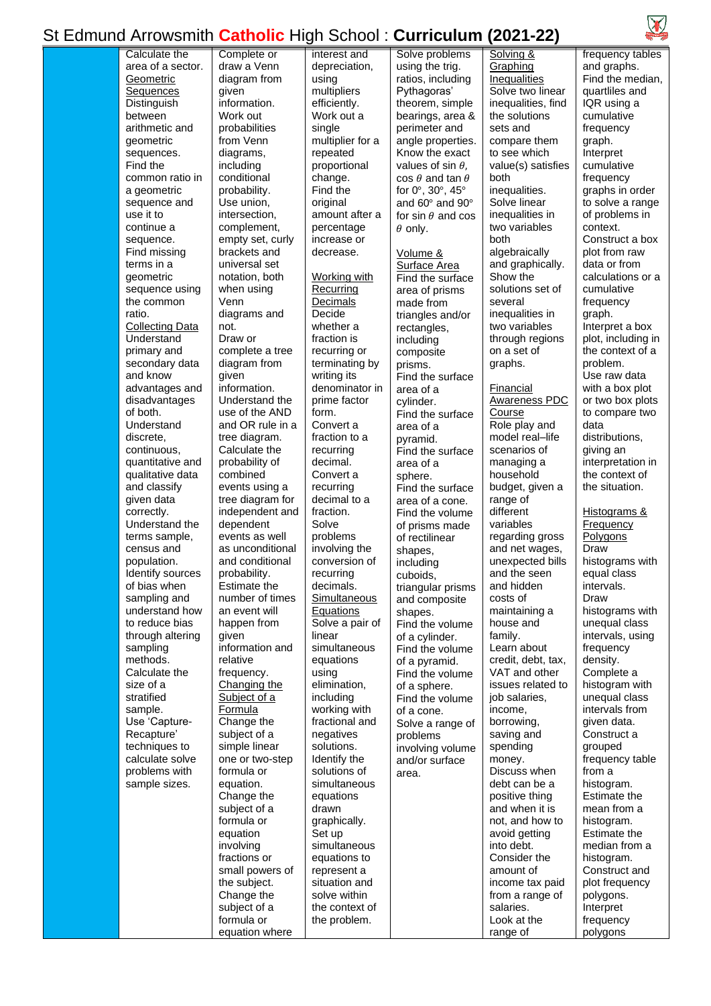| Calculate the          | Complete or      | interest and        | Solve problems                 | Solving &            | frequency tables   |
|------------------------|------------------|---------------------|--------------------------------|----------------------|--------------------|
| area of a sector.      | draw a Venn      | depreciation,       | using the trig.                | Graphing             | and graphs.        |
| Geometric              | diagram from     | using               | ratios, including              | Inequalities         | Find the median,   |
|                        |                  |                     | Pythagoras'                    | Solve two linear     |                    |
| Sequences              | given            | multipliers         |                                |                      | quartliles and     |
| Distinguish            | information.     | efficiently.        | theorem, simple                | inequalities, find   | IQR using a        |
| between                | Work out         | Work out a          | bearings, area &               | the solutions        | cumulative         |
| arithmetic and         | probabilities    | single              | perimeter and                  | sets and             | frequency          |
| geometric              | from Venn        | multiplier for a    | angle properties.              | compare them         | graph.             |
| sequences.             | diagrams,        | repeated            | Know the exact                 | to see which         | Interpret          |
| Find the               | including        | proportional        | values of sin $\theta$ ,       | value(s) satisfies   | cumulative         |
| common ratio in        | conditional      | change.             | $\cos \theta$ and tan $\theta$ | both                 | frequency          |
|                        |                  |                     |                                |                      |                    |
| a geometric            | probability.     | Find the            | for 0°, 30°, 45°               | inequalities.        | graphs in order    |
| sequence and           | Use union,       | original            | and 60° and 90°                | Solve linear         | to solve a range   |
| use it to              | intersection,    | amount after a      | for sin $\theta$ and cos       | inequalities in      | of problems in     |
| continue a             | complement,      | percentage          | $\theta$ only.                 | two variables        | context.           |
| sequence.              | empty set, curly | increase or         |                                | both                 | Construct a box    |
| Find missing           | brackets and     | decrease.           | Volume &                       | algebraically        | plot from raw      |
| terms in a             | universal set    |                     |                                | and graphically.     | data or from       |
|                        |                  |                     | Surface Area                   |                      |                    |
| geometric              | notation, both   | <b>Working with</b> | Find the surface               | Show the             | calculations or a  |
| sequence using         | when using       | Recurring           | area of prisms                 | solutions set of     | cumulative         |
| the common             | Venn             | Decimals            | made from                      | several              | frequency          |
| ratio.                 | diagrams and     | Decide              | triangles and/or               | inequalities in      | graph.             |
| <b>Collecting Data</b> | not.             | whether a           | rectangles,                    | two variables        | Interpret a box    |
| Understand             | Draw or          | fraction is         |                                | through regions      | plot, including in |
|                        |                  |                     | including                      |                      |                    |
| primary and            | complete a tree  | recurring or        | composite                      | on a set of          | the context of a   |
| secondary data         | diagram from     | terminating by      | prisms.                        | graphs.              | problem.           |
| and know               | given            | writing its         | Find the surface               |                      | Use raw data       |
| advantages and         | information.     | denominator in      | area of a                      | Financial            | with a box plot    |
| disadvantages          | Understand the   | prime factor        | cylinder.                      | <b>Awareness PDC</b> | or two box plots   |
| of both.               | use of the AND   | form.               | Find the surface               | Course               | to compare two     |
| Understand             | and OR rule in a | Convert a           |                                | Role play and        | data               |
|                        |                  |                     | area of a                      |                      |                    |
| discrete,              | tree diagram.    | fraction to a       | pyramid.                       | model real-life      | distributions,     |
| continuous,            | Calculate the    | recurring           | Find the surface               | scenarios of         | giving an          |
| quantitative and       | probability of   | decimal.            | area of a                      | managing a           | interpretation in  |
| qualitative data       | combined         | Convert a           | sphere.                        | household            | the context of     |
| and classify           | events using a   | recurring           | Find the surface               | budget, given a      | the situation.     |
| given data             | tree diagram for | decimal to a        | area of a cone.                | range of             |                    |
| correctly.             | independent and  | fraction.           |                                | different            | Histograms &       |
|                        |                  | Solve               | Find the volume                |                      |                    |
| Understand the         | dependent        |                     | of prisms made                 | variables            | Frequency          |
| terms sample,          | events as well   | problems            | of rectilinear                 | regarding gross      | Polygons           |
| census and             | as unconditional | involving the       | shapes,                        | and net wages,       | Draw               |
| population.            | and conditional  | conversion of       | including                      | unexpected bills     | histograms with    |
| Identify sources       | probability.     | recurring           | cuboids,                       | and the seen         | equal class        |
| of bias when           | Estimate the     | decimals.           | triangular prisms              | and hidden           | intervals.         |
| sampling and           | number of times  | <b>Simultaneous</b> | and composite                  | costs of             | Draw               |
| understand how         | an event will    | Equations           | shapes.                        | maintaining a        | histograms with    |
| to reduce bias         | happen from      | Solve a pair of     |                                | house and            | unequal class      |
|                        |                  |                     | Find the volume                |                      |                    |
| through altering       | given            | linear              | of a cylinder.                 | family.              | intervals, using   |
| sampling               | information and  | simultaneous        | Find the volume                | Learn about          | frequency          |
| methods.               | relative         | equations           | of a pyramid.                  | credit, debt, tax,   | density.           |
| Calculate the          | frequency.       | using               | Find the volume                | VAT and other        | Complete a         |
| size of a              | Changing the     | elimination,        | of a sphere.                   | issues related to    | histogram with     |
| stratified             | Subject of a     | including           | Find the volume                | job salaries,        | unequal class      |
| sample.                | Formula          | working with        | of a cone.                     | income,              | intervals from     |
| Use 'Capture-          | Change the       | fractional and      |                                | borrowing,           | given data.        |
|                        |                  |                     | Solve a range of               |                      |                    |
| Recapture'             | subject of a     | negatives           | problems                       | saving and           | Construct a        |
| techniques to          | simple linear    | solutions.          | involving volume               | spending             | grouped            |
| calculate solve        | one or two-step  | Identify the        | and/or surface                 | money.               | frequency table    |
| problems with          | formula or       | solutions of        | area.                          | Discuss when         | from a             |
| sample sizes.          | equation.        | simultaneous        |                                | debt can be a        | histogram.         |
|                        | Change the       | equations           |                                | positive thing       | Estimate the       |
|                        | subject of a     | drawn               |                                | and when it is       | mean from a        |
|                        |                  |                     |                                |                      |                    |
|                        | formula or       | graphically.        |                                | not, and how to      | histogram.         |
|                        | equation         | Set up              |                                | avoid getting        | Estimate the       |
|                        | involving        | simultaneous        |                                | into debt.           | median from a      |
|                        | fractions or     | equations to        |                                | Consider the         | histogram.         |
|                        | small powers of  | represent a         |                                | amount of            | Construct and      |
|                        | the subject.     | situation and       |                                | income tax paid      | plot frequency     |
|                        | Change the       | solve within        |                                | from a range of      |                    |
|                        |                  |                     |                                |                      | polygons.          |
|                        | subject of a     | the context of      |                                | salaries.            | Interpret          |
|                        | formula or       | the problem.        |                                | Look at the          | frequency          |
|                        | equation where   |                     |                                | range of             | polygons           |

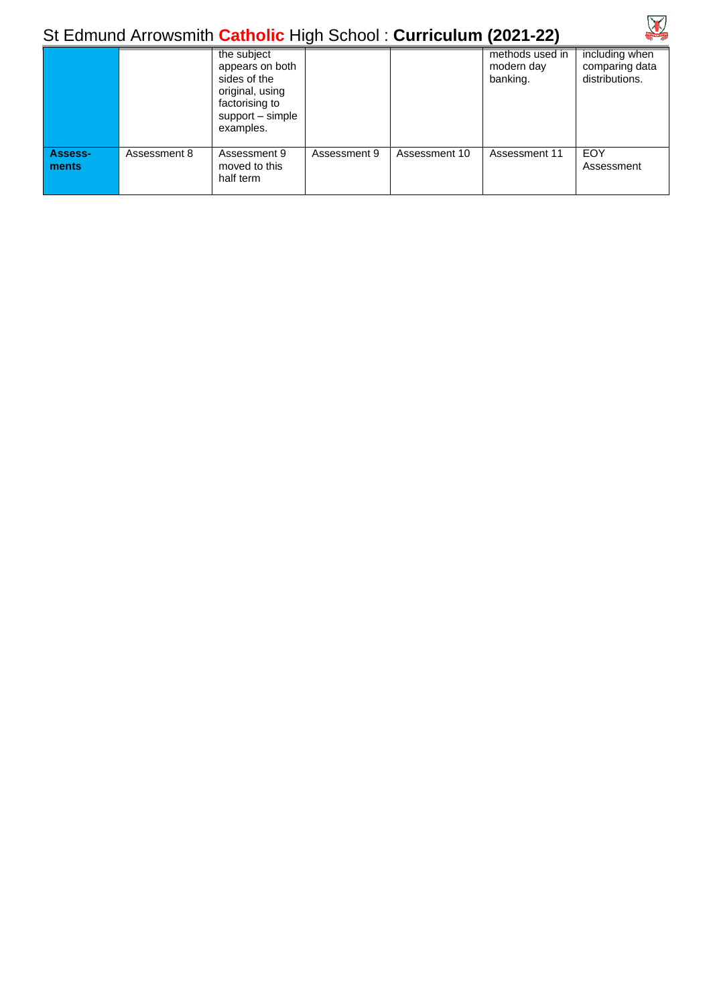

|                  |              | the subject<br>appears on both<br>sides of the<br>original, using<br>factorising to<br>support - simple<br>examples. |              |               | methods used in<br>modern day<br>banking. | including when<br>comparing data<br>distributions. |
|------------------|--------------|----------------------------------------------------------------------------------------------------------------------|--------------|---------------|-------------------------------------------|----------------------------------------------------|
| Assess-<br>ments | Assessment 8 | Assessment 9<br>moved to this<br>half term                                                                           | Assessment 9 | Assessment 10 | Assessment 11                             | EOY<br>Assessment                                  |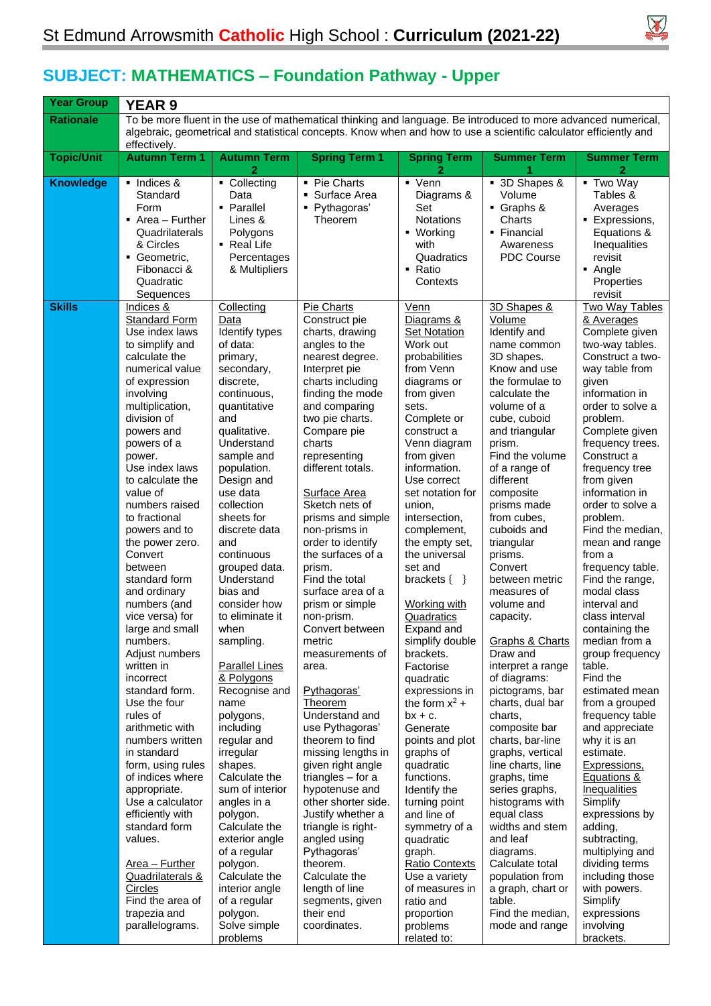

# **SUBJECT: MATHEMATICS – Foundation Pathway - Upper**

| <b>Year Group</b> | <b>YEAR 9</b>                                                                                                                                                                                                                                                                                                                                                                                                                                                                                                                                                                                                                                                                                                                                                                                                                                           |                                                                                                                                                                                                                                                                                                                                                                                                                                                                                                                                                                                                                                                                                                                       |                                                                                                                                                                                                                                                                                                                                                                                                                                                                                                                                                                                                                                                                                                                                                                                                                                                                         |                                                                                                                                                                                                                                                                                                                                                                                                                                                                                                                                                                                                                                                                                                                                                                     |                                                                                                                                                                                                                                                                                                                                                                                                                                                                                                                                                                                                                                                                                                                                                                                                           |                                                                                                                                                                                                                                                                                                                                                                                                                                                                                                                                                                                                                                                                                                                                                                                                                                                |  |  |
|-------------------|---------------------------------------------------------------------------------------------------------------------------------------------------------------------------------------------------------------------------------------------------------------------------------------------------------------------------------------------------------------------------------------------------------------------------------------------------------------------------------------------------------------------------------------------------------------------------------------------------------------------------------------------------------------------------------------------------------------------------------------------------------------------------------------------------------------------------------------------------------|-----------------------------------------------------------------------------------------------------------------------------------------------------------------------------------------------------------------------------------------------------------------------------------------------------------------------------------------------------------------------------------------------------------------------------------------------------------------------------------------------------------------------------------------------------------------------------------------------------------------------------------------------------------------------------------------------------------------------|-------------------------------------------------------------------------------------------------------------------------------------------------------------------------------------------------------------------------------------------------------------------------------------------------------------------------------------------------------------------------------------------------------------------------------------------------------------------------------------------------------------------------------------------------------------------------------------------------------------------------------------------------------------------------------------------------------------------------------------------------------------------------------------------------------------------------------------------------------------------------|---------------------------------------------------------------------------------------------------------------------------------------------------------------------------------------------------------------------------------------------------------------------------------------------------------------------------------------------------------------------------------------------------------------------------------------------------------------------------------------------------------------------------------------------------------------------------------------------------------------------------------------------------------------------------------------------------------------------------------------------------------------------|-----------------------------------------------------------------------------------------------------------------------------------------------------------------------------------------------------------------------------------------------------------------------------------------------------------------------------------------------------------------------------------------------------------------------------------------------------------------------------------------------------------------------------------------------------------------------------------------------------------------------------------------------------------------------------------------------------------------------------------------------------------------------------------------------------------|------------------------------------------------------------------------------------------------------------------------------------------------------------------------------------------------------------------------------------------------------------------------------------------------------------------------------------------------------------------------------------------------------------------------------------------------------------------------------------------------------------------------------------------------------------------------------------------------------------------------------------------------------------------------------------------------------------------------------------------------------------------------------------------------------------------------------------------------|--|--|
| <b>Rationale</b>  | effectively.                                                                                                                                                                                                                                                                                                                                                                                                                                                                                                                                                                                                                                                                                                                                                                                                                                            |                                                                                                                                                                                                                                                                                                                                                                                                                                                                                                                                                                                                                                                                                                                       | To be more fluent in the use of mathematical thinking and language. Be introduced to more advanced numerical,<br>algebraic, geometrical and statistical concepts. Know when and how to use a scientific calculator efficiently and                                                                                                                                                                                                                                                                                                                                                                                                                                                                                                                                                                                                                                      |                                                                                                                                                                                                                                                                                                                                                                                                                                                                                                                                                                                                                                                                                                                                                                     |                                                                                                                                                                                                                                                                                                                                                                                                                                                                                                                                                                                                                                                                                                                                                                                                           |                                                                                                                                                                                                                                                                                                                                                                                                                                                                                                                                                                                                                                                                                                                                                                                                                                                |  |  |
| <b>Topic/Unit</b> | <b>Autumn Term 1</b>                                                                                                                                                                                                                                                                                                                                                                                                                                                                                                                                                                                                                                                                                                                                                                                                                                    | <b>Autumn Term</b><br>2                                                                                                                                                                                                                                                                                                                                                                                                                                                                                                                                                                                                                                                                                               | <b>Spring Term 1</b>                                                                                                                                                                                                                                                                                                                                                                                                                                                                                                                                                                                                                                                                                                                                                                                                                                                    | <b>Spring Term</b>                                                                                                                                                                                                                                                                                                                                                                                                                                                                                                                                                                                                                                                                                                                                                  | <b>Summer Term</b>                                                                                                                                                                                                                                                                                                                                                                                                                                                                                                                                                                                                                                                                                                                                                                                        | <b>Summer Term</b><br>2                                                                                                                                                                                                                                                                                                                                                                                                                                                                                                                                                                                                                                                                                                                                                                                                                        |  |  |
| <b>Knowledge</b>  | $\overline{\phantom{a}}$ Indices &<br>Standard<br>Form<br>$\blacksquare$ Area - Further<br>Quadrilaterals<br>& Circles<br>• Geometric,<br>Fibonacci &<br>Quadratic<br>Sequences                                                                                                                                                                                                                                                                                                                                                                                                                                                                                                                                                                                                                                                                         | • Collecting<br>Data<br>• Parallel<br>Lines &<br>Polygons<br>• Real Life<br>Percentages<br>& Multipliers                                                                                                                                                                                                                                                                                                                                                                                                                                                                                                                                                                                                              | • Pie Charts<br>• Surface Area<br>• Pythagoras'<br>Theorem                                                                                                                                                                                                                                                                                                                                                                                                                                                                                                                                                                                                                                                                                                                                                                                                              | $\blacksquare$ Venn<br>Diagrams &<br>Set<br><b>Notations</b><br>$\blacksquare$ Working<br>with<br>Quadratics<br>• Ratio<br>Contexts                                                                                                                                                                                                                                                                                                                                                                                                                                                                                                                                                                                                                                 | ■ 3D Shapes &<br>Volume<br>• Graphs &<br>Charts<br>• Financial<br>Awareness<br><b>PDC Course</b>                                                                                                                                                                                                                                                                                                                                                                                                                                                                                                                                                                                                                                                                                                          | - Two Way<br>Tables &<br>Averages<br><b>Expressions,</b><br>Equations &<br>Inequalities<br>revisit<br>$\blacksquare$ Angle<br>Properties<br>revisit                                                                                                                                                                                                                                                                                                                                                                                                                                                                                                                                                                                                                                                                                            |  |  |
| <b>Skills</b>     | Indices &<br><b>Standard Form</b><br>Use index laws<br>to simplify and<br>calculate the<br>numerical value<br>of expression<br>involving<br>multiplication,<br>division of<br>powers and<br>powers of a<br>power.<br>Use index laws<br>to calculate the<br>value of<br>numbers raised<br>to fractional<br>powers and to<br>the power zero.<br>Convert<br>between<br>standard form<br>and ordinary<br>numbers (and<br>vice versa) for<br>large and small<br>numbers.<br>Adjust numbers<br>written in<br>incorrect<br>standard form.<br>Use the four<br>rules of<br>arithmetic with<br>numbers written<br>in standard<br>form, using rules<br>of indices where<br>appropriate.<br>Use a calculator<br>efficiently with<br>standard form<br>values.<br><u>Area – Further</u><br><b>Quadrilaterals &amp;</b><br>Circles<br>Find the area of<br>trapezia and | Collecting<br>Data<br>Identify types<br>of data:<br>primary,<br>secondary,<br>discrete,<br>continuous,<br>quantitative<br>and<br>qualitative.<br>Understand<br>sample and<br>population.<br>Design and<br>use data<br>collection<br>sheets for<br>discrete data<br>and<br>continuous<br>grouped data.<br>Understand<br>bias and<br>consider how<br>to eliminate it<br>when<br>sampling.<br><b>Parallel Lines</b><br>& Polygons<br>Recognise and<br>name<br>polygons,<br>including<br>regular and<br>irregular<br>shapes.<br>Calculate the<br>sum of interior<br>angles in a<br>polygon.<br>Calculate the<br>exterior angle<br>of a regular<br>polygon.<br>Calculate the<br>interior angle<br>of a regular<br>polygon. | Pie Charts<br>Construct pie<br>charts, drawing<br>angles to the<br>nearest degree.<br>Interpret pie<br>charts including<br>finding the mode<br>and comparing<br>two pie charts.<br>Compare pie<br>charts<br>representing<br>different totals.<br><b>Surface Area</b><br>Sketch nets of<br>prisms and simple<br>non-prisms in<br>order to identify<br>the surfaces of a<br>prism.<br>Find the total<br>surface area of a<br>prism or simple<br>non-prism.<br>Convert between<br>metric<br>measurements of<br>area.<br>Pythagoras'<br>Theorem<br>Understand and<br>use Pythagoras'<br>theorem to find<br>missing lengths in<br>given right angle<br>triangles $-$ for a<br>hypotenuse and<br>other shorter side.<br>Justify whether a<br>triangle is right-<br>angled using<br>Pythagoras'<br>theorem.<br>Calculate the<br>length of line<br>segments, given<br>their end | Venn<br>Diagrams &<br><b>Set Notation</b><br>Work out<br>probabilities<br>from Venn<br>diagrams or<br>from given<br>sets.<br>Complete or<br>construct a<br>Venn diagram<br>from given<br>information.<br>Use correct<br>set notation for<br>union,<br>intersection,<br>complement,<br>the empty set,<br>the universal<br>set and<br>brackets $\{\}$<br><b>Working with</b><br>Quadratics<br>Expand and<br>simplify double<br>brackets.<br>Factorise<br>quadratic<br>expressions in<br>the form $x^2$ +<br>$bx + c$ .<br>Generate<br>points and plot<br>graphs of<br>quadratic<br>functions.<br>Identify the<br>turning point<br>and line of<br>symmetry of a<br>quadratic<br>graph.<br>Ratio Contexts<br>Use a variety<br>of measures in<br>ratio and<br>proportion | 3D Shapes &<br>Volume<br>Identify and<br>name common<br>3D shapes.<br>Know and use<br>the formulae to<br>calculate the<br>volume of a<br>cube, cuboid<br>and triangular<br>prism.<br>Find the volume<br>of a range of<br>different<br>composite<br>prisms made<br>from cubes.<br>cuboids and<br>triangular<br>prisms.<br>Convert<br>between metric<br>measures of<br>volume and<br>capacity.<br>Graphs & Charts<br>Draw and<br>interpret a range<br>of diagrams:<br>pictograms, bar<br>charts, dual bar<br>charts,<br>composite bar<br>charts, bar-line<br>graphs, vertical<br>line charts, line<br>graphs, time<br>series graphs,<br>histograms with<br>equal class<br>widths and stem<br>and leaf<br>diagrams.<br>Calculate total<br>population from<br>a graph, chart or<br>table.<br>Find the median, | Two Way Tables<br>& Averages<br>Complete given<br>two-way tables.<br>Construct a two-<br>way table from<br>given<br>information in<br>order to solve a<br>problem.<br>Complete given<br>frequency trees.<br>Construct a<br>frequency tree<br>from given<br>information in<br>order to solve a<br>problem.<br>Find the median,<br>mean and range<br>from a<br>frequency table.<br>Find the range,<br>modal class<br>interval and<br>class interval<br>containing the<br>median from a<br>group frequency<br>table.<br>Find the<br>estimated mean<br>from a grouped<br>frequency table<br>and appreciate<br>why it is an<br>estimate.<br>Expressions,<br>Equations &<br>Inequalities<br>Simplify<br>expressions by<br>adding,<br>subtracting,<br>multiplying and<br>dividing terms<br>including those<br>with powers.<br>Simplify<br>expressions |  |  |
|                   | parallelograms.                                                                                                                                                                                                                                                                                                                                                                                                                                                                                                                                                                                                                                                                                                                                                                                                                                         | Solve simple<br>problems                                                                                                                                                                                                                                                                                                                                                                                                                                                                                                                                                                                                                                                                                              | coordinates.                                                                                                                                                                                                                                                                                                                                                                                                                                                                                                                                                                                                                                                                                                                                                                                                                                                            | problems<br>related to:                                                                                                                                                                                                                                                                                                                                                                                                                                                                                                                                                                                                                                                                                                                                             | mode and range                                                                                                                                                                                                                                                                                                                                                                                                                                                                                                                                                                                                                                                                                                                                                                                            | involving<br>brackets.                                                                                                                                                                                                                                                                                                                                                                                                                                                                                                                                                                                                                                                                                                                                                                                                                         |  |  |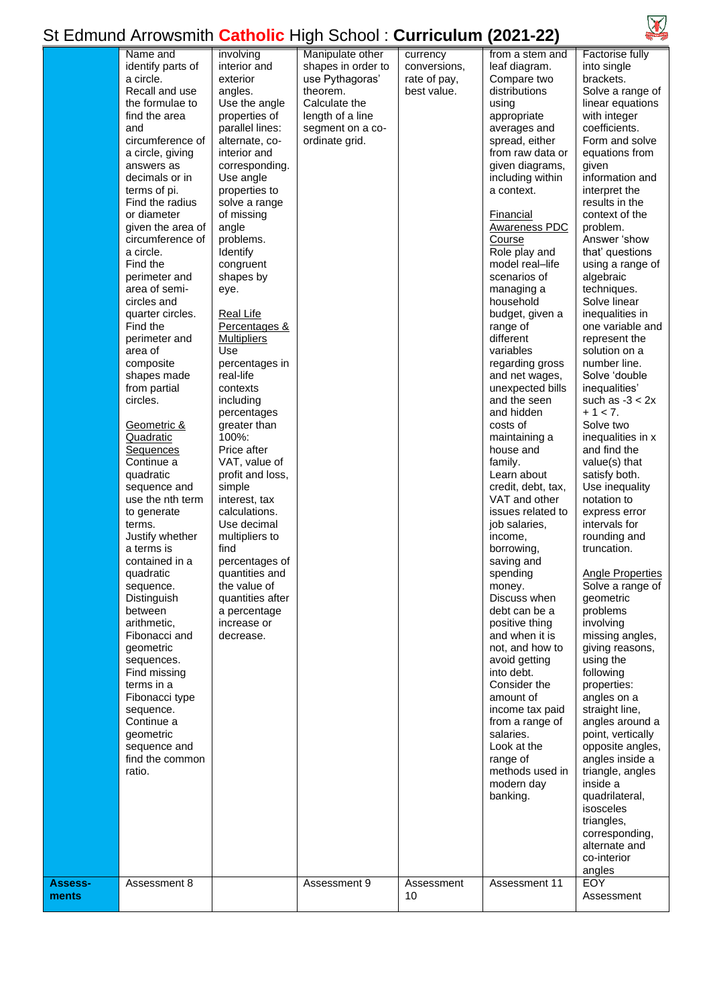|                | Name and          | involving          | Manipulate other   | currency     | from a stem and    | Factorise fully         |
|----------------|-------------------|--------------------|--------------------|--------------|--------------------|-------------------------|
|                | identify parts of | interior and       | shapes in order to | conversions, | leaf diagram.      | into single             |
|                | a circle.         | exterior           | use Pythagoras'    | rate of pay, | Compare two        | brackets.               |
|                | Recall and use    | angles.            | theorem.           | best value.  | distributions      | Solve a range of        |
|                | the formulae to   | Use the angle      | Calculate the      |              | using              | linear equations        |
|                | find the area     | properties of      | length of a line   |              | appropriate        | with integer            |
|                |                   |                    |                    |              |                    |                         |
|                | and               | parallel lines:    | segment on a co-   |              | averages and       | coefficients.           |
|                | circumference of  | alternate, co-     | ordinate grid.     |              | spread, either     | Form and solve          |
|                | a circle, giving  | interior and       |                    |              | from raw data or   | equations from          |
|                | answers as        | corresponding.     |                    |              | given diagrams,    | given                   |
|                | decimals or in    | Use angle          |                    |              | including within   | information and         |
|                | terms of pi.      | properties to      |                    |              | a context.         | interpret the           |
|                | Find the radius   | solve a range      |                    |              |                    | results in the          |
|                | or diameter       | of missing         |                    |              | Financial          | context of the          |
|                |                   |                    |                    |              |                    |                         |
|                | given the area of | angle              |                    |              | Awareness PDC      | problem.                |
|                | circumference of  | problems.          |                    |              | Course             | Answer 'show            |
|                | a circle.         | Identify           |                    |              | Role play and      | that' questions         |
|                | Find the          | congruent          |                    |              | model real-life    | using a range of        |
|                | perimeter and     | shapes by          |                    |              | scenarios of       | algebraic               |
|                | area of semi-     | eye.               |                    |              | managing a         | techniques.             |
|                | circles and       |                    |                    |              | household          | Solve linear            |
|                | quarter circles.  | Real Life          |                    |              | budget, given a    | inequalities in         |
|                | Find the          | Percentages &      |                    |              | range of           | one variable and        |
|                | perimeter and     | <b>Multipliers</b> |                    |              | different          | represent the           |
|                |                   |                    |                    |              |                    |                         |
|                | area of           | Use                |                    |              | variables          | solution on a           |
|                | composite         | percentages in     |                    |              | regarding gross    | number line.            |
|                | shapes made       | real-life          |                    |              | and net wages,     | Solve 'double           |
|                | from partial      | contexts           |                    |              | unexpected bills   | inequalities'           |
|                | circles.          | including          |                    |              | and the seen       | such as $-3 < 2x$       |
|                |                   | percentages        |                    |              | and hidden         | $+1 < 7.$               |
|                | Geometric &       | greater than       |                    |              | costs of           | Solve two               |
|                | Quadratic         | 100%:              |                    |              | maintaining a      | inequalities in x       |
|                | Sequences         | Price after        |                    |              | house and          | and find the            |
|                | Continue a        | VAT, value of      |                    |              | family.            | value(s) that           |
|                | quadratic         | profit and loss,   |                    |              | Learn about        | satisfy both.           |
|                |                   |                    |                    |              |                    |                         |
|                | sequence and      | simple             |                    |              | credit, debt, tax, | Use inequality          |
|                | use the nth term  | interest, tax      |                    |              | VAT and other      | notation to             |
|                | to generate       | calculations.      |                    |              | issues related to  | express error           |
|                | terms.            | Use decimal        |                    |              | job salaries,      | intervals for           |
|                | Justify whether   | multipliers to     |                    |              | income,            | rounding and            |
|                | a terms is        | find               |                    |              | borrowing,         | truncation.             |
|                | contained in a    | percentages of     |                    |              | saving and         |                         |
|                | quadratic         | quantities and     |                    |              | spending           | <b>Angle Properties</b> |
|                | sequence.         | the value of       |                    |              | money.             | Solve a range of        |
|                | Distinguish       | quantities after   |                    |              | Discuss when       | geometric               |
|                | between           | a percentage       |                    |              | debt can be a      | problems                |
|                | arithmetic,       | increase or        |                    |              | positive thing     | involving               |
|                | Fibonacci and     |                    |                    |              | and when it is     |                         |
|                |                   | decrease.          |                    |              |                    | missing angles,         |
|                | geometric         |                    |                    |              | not, and how to    | giving reasons,         |
|                | sequences.        |                    |                    |              | avoid getting      | using the               |
|                | Find missing      |                    |                    |              | into debt.         | following               |
|                | terms in a        |                    |                    |              | Consider the       | properties:             |
|                | Fibonacci type    |                    |                    |              | amount of          | angles on a             |
|                | sequence.         |                    |                    |              | income tax paid    | straight line,          |
|                | Continue a        |                    |                    |              | from a range of    | angles around a         |
|                | geometric         |                    |                    |              | salaries.          | point, vertically       |
|                | sequence and      |                    |                    |              | Look at the        | opposite angles,        |
|                | find the common   |                    |                    |              | range of           | angles inside a         |
|                | ratio.            |                    |                    |              | methods used in    | triangle, angles        |
|                |                   |                    |                    |              | modern day         | inside a                |
|                |                   |                    |                    |              | banking.           | quadrilateral,          |
|                |                   |                    |                    |              |                    | isosceles               |
|                |                   |                    |                    |              |                    |                         |
|                |                   |                    |                    |              |                    | triangles,              |
|                |                   |                    |                    |              |                    | corresponding,          |
|                |                   |                    |                    |              |                    | alternate and           |
|                |                   |                    |                    |              |                    | co-interior             |
|                |                   |                    |                    |              |                    | angles                  |
| <b>Assess-</b> | Assessment 8      |                    | Assessment 9       | Assessment   | Assessment 11      | EOY                     |
| ments          |                   |                    |                    | 10           |                    | Assessment              |
|                |                   |                    |                    |              |                    |                         |

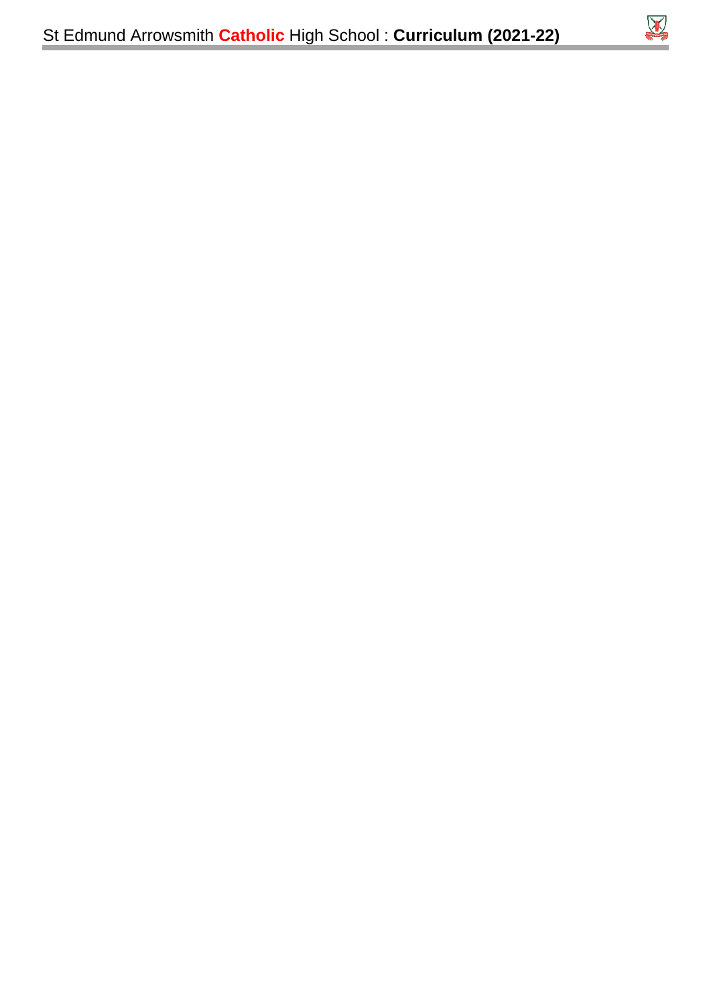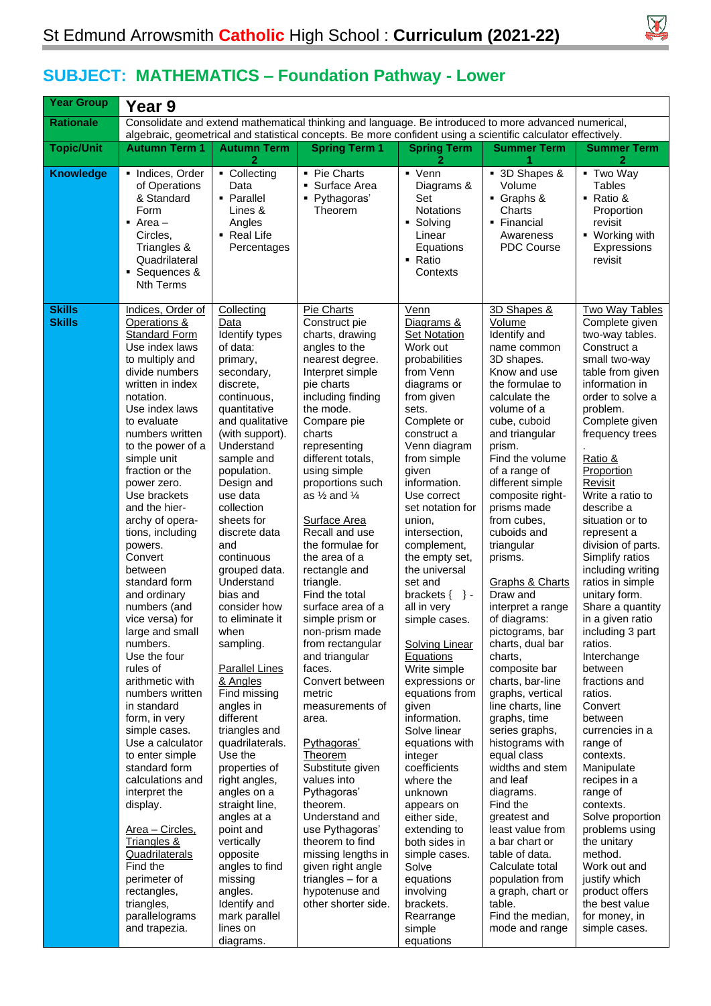

### **SUBJECT: MATHEMATICS – Foundation Pathway - Lower**

| <b>Year Group</b>              | Year <sub>9</sub>                                                                                                                                                                                                                                                                                                                                                                                                                                                                                                                                                                                                                                                                                                                                                                              |                                                                                                                                                                                                                                                                                                                                                                                                                                                                                                                                                                                                                                                                                 |                                                                                                                                                                                                                                                                                                                                                                                                                                                                                                                                                                                                                                                                                                                                                                                            |                                                                                                                                                                                                                                                                                                                                                                                                                                                                                                                                                                                                                                                                                                  |                                                                                                                                                                                                                                                                                                                                                                                                                                                                                                                                                                                                                                                                                                                                                                           |                                                                                                                                                                                                                                                                                                                                                                                                                                                                                                                                                                                                                                                                                                                                                        |  |  |
|--------------------------------|------------------------------------------------------------------------------------------------------------------------------------------------------------------------------------------------------------------------------------------------------------------------------------------------------------------------------------------------------------------------------------------------------------------------------------------------------------------------------------------------------------------------------------------------------------------------------------------------------------------------------------------------------------------------------------------------------------------------------------------------------------------------------------------------|---------------------------------------------------------------------------------------------------------------------------------------------------------------------------------------------------------------------------------------------------------------------------------------------------------------------------------------------------------------------------------------------------------------------------------------------------------------------------------------------------------------------------------------------------------------------------------------------------------------------------------------------------------------------------------|--------------------------------------------------------------------------------------------------------------------------------------------------------------------------------------------------------------------------------------------------------------------------------------------------------------------------------------------------------------------------------------------------------------------------------------------------------------------------------------------------------------------------------------------------------------------------------------------------------------------------------------------------------------------------------------------------------------------------------------------------------------------------------------------|--------------------------------------------------------------------------------------------------------------------------------------------------------------------------------------------------------------------------------------------------------------------------------------------------------------------------------------------------------------------------------------------------------------------------------------------------------------------------------------------------------------------------------------------------------------------------------------------------------------------------------------------------------------------------------------------------|---------------------------------------------------------------------------------------------------------------------------------------------------------------------------------------------------------------------------------------------------------------------------------------------------------------------------------------------------------------------------------------------------------------------------------------------------------------------------------------------------------------------------------------------------------------------------------------------------------------------------------------------------------------------------------------------------------------------------------------------------------------------------|--------------------------------------------------------------------------------------------------------------------------------------------------------------------------------------------------------------------------------------------------------------------------------------------------------------------------------------------------------------------------------------------------------------------------------------------------------------------------------------------------------------------------------------------------------------------------------------------------------------------------------------------------------------------------------------------------------------------------------------------------------|--|--|
| <b>Rationale</b>               |                                                                                                                                                                                                                                                                                                                                                                                                                                                                                                                                                                                                                                                                                                                                                                                                |                                                                                                                                                                                                                                                                                                                                                                                                                                                                                                                                                                                                                                                                                 | Consolidate and extend mathematical thinking and language. Be introduced to more advanced numerical,<br>algebraic, geometrical and statistical concepts. Be more confident using a scientific calculator effectively.                                                                                                                                                                                                                                                                                                                                                                                                                                                                                                                                                                      |                                                                                                                                                                                                                                                                                                                                                                                                                                                                                                                                                                                                                                                                                                  |                                                                                                                                                                                                                                                                                                                                                                                                                                                                                                                                                                                                                                                                                                                                                                           |                                                                                                                                                                                                                                                                                                                                                                                                                                                                                                                                                                                                                                                                                                                                                        |  |  |
| <b>Topic/Unit</b>              | <b>Autumn Term 1</b>                                                                                                                                                                                                                                                                                                                                                                                                                                                                                                                                                                                                                                                                                                                                                                           | <b>Autumn Term</b><br>$\overline{2}$                                                                                                                                                                                                                                                                                                                                                                                                                                                                                                                                                                                                                                            | <b>Spring Term 1</b>                                                                                                                                                                                                                                                                                                                                                                                                                                                                                                                                                                                                                                                                                                                                                                       | <b>Spring Term</b><br>2                                                                                                                                                                                                                                                                                                                                                                                                                                                                                                                                                                                                                                                                          | <b>Summer Term</b><br>1                                                                                                                                                                                                                                                                                                                                                                                                                                                                                                                                                                                                                                                                                                                                                   | <b>Summer Term</b><br>$\overline{2}$                                                                                                                                                                                                                                                                                                                                                                                                                                                                                                                                                                                                                                                                                                                   |  |  |
| <b>Knowledge</b>               | · Indices, Order<br>of Operations<br>& Standard<br>Form<br>$\blacksquare$ Area –<br>Circles.<br>Triangles &<br>Quadrilateral<br>• Sequences &<br><b>Nth Terms</b>                                                                                                                                                                                                                                                                                                                                                                                                                                                                                                                                                                                                                              | • Collecting<br>Data<br>• Parallel<br>Lines &<br>Angles<br>• Real Life<br>Percentages                                                                                                                                                                                                                                                                                                                                                                                                                                                                                                                                                                                           | • Pie Charts<br>Surface Area<br>Pythagoras'<br>٠<br>Theorem                                                                                                                                                                                                                                                                                                                                                                                                                                                                                                                                                                                                                                                                                                                                | $\blacksquare$ Venn<br>Diagrams &<br>Set<br><b>Notations</b><br>• Solving<br>Linear<br>Equations<br>• Ratio<br>Contexts                                                                                                                                                                                                                                                                                                                                                                                                                                                                                                                                                                          | • 3D Shapes &<br>Volume<br>• Graphs &<br>Charts<br>• Financial<br>Awareness<br><b>PDC Course</b>                                                                                                                                                                                                                                                                                                                                                                                                                                                                                                                                                                                                                                                                          | ■ Two Way<br>Tables<br>• Ratio &<br>Proportion<br>revisit<br>• Working with<br>Expressions<br>revisit                                                                                                                                                                                                                                                                                                                                                                                                                                                                                                                                                                                                                                                  |  |  |
| <b>Skills</b><br><b>Skills</b> | Indices, Order of<br>Operations &<br><b>Standard Form</b><br>Use index laws<br>to multiply and<br>divide numbers<br>written in index<br>notation.<br>Use index laws<br>to evaluate<br>numbers written<br>to the power of a<br>simple unit<br>fraction or the<br>power zero.<br>Use brackets<br>and the hier-<br>archy of opera-<br>tions, including<br>powers.<br>Convert<br>between<br>standard form<br>and ordinary<br>numbers (and<br>vice versa) for<br>large and small<br>numbers.<br>Use the four<br>rules of<br>arithmetic with<br>numbers written<br>in standard<br>form, in very<br>simple cases.<br>Use a calculator<br>to enter simple<br>standard form<br>calculations and<br>interpret the<br>display.<br>Area - Circles,<br><b>Triangles &amp;</b><br>Quadrilaterals<br>Find the | Collecting<br>Data<br>Identify types<br>of data:<br>primary,<br>secondary,<br>discrete,<br>continuous,<br>quantitative<br>and qualitative<br>(with support).<br>Understand<br>sample and<br>population.<br>Design and<br>use data<br>collection<br>sheets for<br>discrete data<br>and<br>continuous<br>grouped data.<br>Understand<br>bias and<br>consider how<br>to eliminate it<br>when<br>sampling.<br><b>Parallel Lines</b><br>& Angles<br>Find missing<br>angles in<br>different<br>triangles and<br>quadrilaterals.<br>Use the<br>properties of<br>right angles,<br>angles on a<br>straight line,<br>angles at a<br>point and<br>vertically<br>opposite<br>angles to find | Pie Charts<br>Construct pie<br>charts, drawing<br>angles to the<br>nearest degree.<br>Interpret simple<br>pie charts<br>including finding<br>the mode.<br>Compare pie<br>charts<br>representing<br>different totals,<br>using simple<br>proportions such<br>as $\frac{1}{2}$ and $\frac{1}{4}$<br><b>Surface Area</b><br>Recall and use<br>the formulae for<br>the area of a<br>rectangle and<br>triangle.<br>Find the total<br>surface area of a<br>simple prism or<br>non-prism made<br>from rectangular<br>and triangular<br>faces.<br>Convert between<br>metric<br>measurements of<br>area.<br>Pythagoras'<br>Theorem<br>Substitute given<br>values into<br>Pythagoras'<br>theorem.<br>Understand and<br>use Pythagoras'<br>theorem to find<br>missing lengths in<br>given right angle | Venn<br>Diagrams &<br><b>Set Notation</b><br>Work out<br>probabilities<br>from Venn<br>diagrams or<br>from given<br>sets.<br>Complete or<br>construct a<br>Venn diagram<br>from simple<br>given<br>information.<br>Use correct<br>set notation for<br>union,<br>intersection,<br>complement,<br>the empty set,<br>the universal<br>set and<br>brackets $\{\}$ -<br>all in very<br>simple cases.<br>Solving Linear<br><b>Equations</b><br>Write simple<br>expressions or<br>equations from<br>given<br>information.<br>Solve linear<br>equations with<br>integer<br>coefficients<br>where the<br>unknown<br>appears on<br>either side,<br>extending to<br>both sides in<br>simple cases.<br>Solve | 3D Shapes &<br>Volume<br>Identify and<br>name common<br>3D shapes.<br>Know and use<br>the formulae to<br>calculate the<br>volume of a<br>cube, cuboid<br>and triangular<br>prism.<br>Find the volume<br>of a range of<br>different simple<br>composite right-<br>prisms made<br>from cubes,<br>cuboids and<br>triangular<br>prisms.<br><b>Graphs &amp; Charts</b><br>Draw and<br>interpret a range<br>of diagrams:<br>pictograms, bar<br>charts, dual bar<br>charts,<br>composite bar<br>charts, bar-line<br>graphs, vertical<br>line charts, line<br>graphs, time<br>series graphs,<br>histograms with<br>equal class<br>widths and stem<br>and leaf<br>diagrams.<br>Find the<br>greatest and<br>least value from<br>a bar chart or<br>table of data.<br>Calculate total | <b>Two Way Tables</b><br>Complete given<br>two-way tables.<br>Construct a<br>small two-way<br>table from given<br>information in<br>order to solve a<br>problem.<br>Complete given<br>frequency trees<br>Ratio &<br>Proportion<br>Revisit<br>Write a ratio to<br>describe a<br>situation or to<br>represent a<br>division of parts.<br>Simplify ratios<br>including writing<br>ratios in simple<br>unitary form.<br>Share a quantity<br>in a given ratio<br>including 3 part<br>ratios.<br>Interchange<br>between<br>fractions and<br>ratios.<br>Convert<br>between<br>currencies in a<br>range of<br>contexts.<br>Manipulate<br>recipes in a<br>range of<br>contexts.<br>Solve proportion<br>problems using<br>the unitary<br>method.<br>Work out and |  |  |
|                                | perimeter of<br>rectangles,<br>triangles,<br>parallelograms<br>and trapezia.                                                                                                                                                                                                                                                                                                                                                                                                                                                                                                                                                                                                                                                                                                                   | missing<br>angles.<br>Identify and<br>mark parallel<br>lines on<br>diagrams.                                                                                                                                                                                                                                                                                                                                                                                                                                                                                                                                                                                                    | triangles $-$ for a<br>hypotenuse and<br>other shorter side.                                                                                                                                                                                                                                                                                                                                                                                                                                                                                                                                                                                                                                                                                                                               | equations<br>involving<br>brackets.<br>Rearrange<br>simple<br>equations                                                                                                                                                                                                                                                                                                                                                                                                                                                                                                                                                                                                                          | population from<br>a graph, chart or<br>table.<br>Find the median,<br>mode and range                                                                                                                                                                                                                                                                                                                                                                                                                                                                                                                                                                                                                                                                                      | justify which<br>product offers<br>the best value<br>for money, in<br>simple cases.                                                                                                                                                                                                                                                                                                                                                                                                                                                                                                                                                                                                                                                                    |  |  |